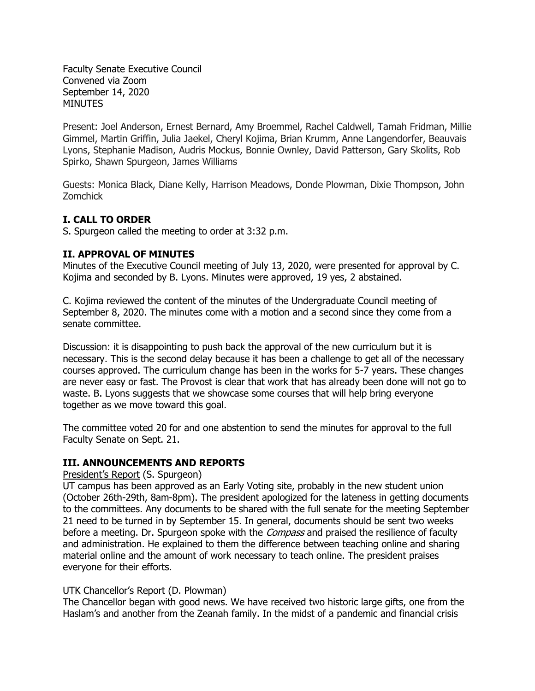Faculty Senate Executive Council Convened via Zoom September 14, 2020 **MINUTES** 

Present: Joel Anderson, Ernest Bernard, Amy Broemmel, Rachel Caldwell, Tamah Fridman, Millie Gimmel, Martin Griffin, Julia Jaekel, Cheryl Kojima, Brian Krumm, Anne Langendorfer, Beauvais Lyons, Stephanie Madison, Audris Mockus, Bonnie Ownley, David Patterson, Gary Skolits, Rob Spirko, Shawn Spurgeon, James Williams

Guests: Monica Black, Diane Kelly, Harrison Meadows, Donde Plowman, Dixie Thompson, John Zomchick

### **I. CALL TO ORDER**

S. Spurgeon called the meeting to order at 3:32 p.m.

## **II. APPROVAL OF MINUTES**

Minutes of the Executive Council meeting of July 13, 2020, were presented for approval by C. Kojima and seconded by B. Lyons. Minutes were approved, 19 yes, 2 abstained.

C. Kojima reviewed the content of the minutes of the Undergraduate Council meeting of September 8, 2020. The minutes come with a motion and a second since they come from a senate committee.

Discussion: it is disappointing to push back the approval of the new curriculum but it is necessary. This is the second delay because it has been a challenge to get all of the necessary courses approved. The curriculum change has been in the works for 5-7 years. These changes are never easy or fast. The Provost is clear that work that has already been done will not go to waste. B. Lyons suggests that we showcase some courses that will help bring everyone together as we move toward this goal.

The committee voted 20 for and one abstention to send the minutes for approval to the full Faculty Senate on Sept. 21.

### **III. ANNOUNCEMENTS AND REPORTS**

#### President's Report (S. Spurgeon)

UT campus has been approved as an Early Voting site, probably in the new student union (October 26th-29th, 8am-8pm). The president apologized for the lateness in getting documents to the committees. Any documents to be shared with the full senate for the meeting September 21 need to be turned in by September 15. In general, documents should be sent two weeks before a meeting. Dr. Spurgeon spoke with the *Compass* and praised the resilience of faculty and administration. He explained to them the difference between teaching online and sharing material online and the amount of work necessary to teach online. The president praises everyone for their efforts.

### UTK Chancellor's Report (D. Plowman)

The Chancellor began with good news. We have received two historic large gifts, one from the Haslam's and another from the Zeanah family. In the midst of a pandemic and financial crisis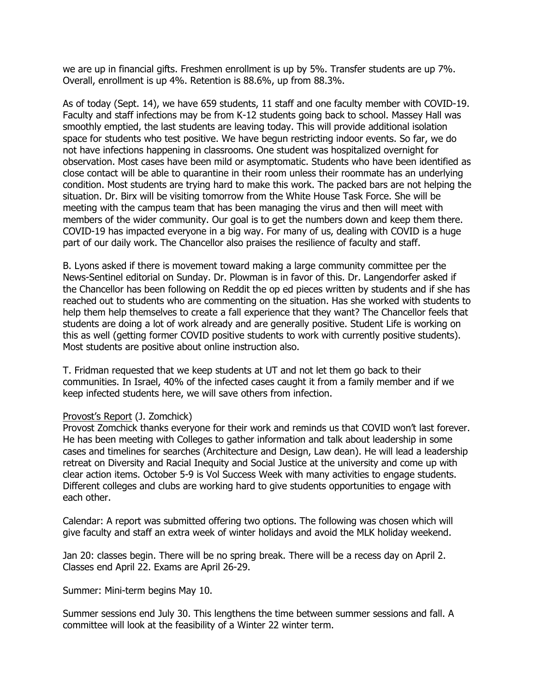we are up in financial gifts. Freshmen enrollment is up by 5%. Transfer students are up 7%. Overall, enrollment is up 4%. Retention is 88.6%, up from 88.3%.

As of today (Sept. 14), we have 659 students, 11 staff and one faculty member with COVID-19. Faculty and staff infections may be from K-12 students going back to school. Massey Hall was smoothly emptied, the last students are leaving today. This will provide additional isolation space for students who test positive. We have begun restricting indoor events. So far, we do not have infections happening in classrooms. One student was hospitalized overnight for observation. Most cases have been mild or asymptomatic. Students who have been identified as close contact will be able to quarantine in their room unless their roommate has an underlying condition. Most students are trying hard to make this work. The packed bars are not helping the situation. Dr. Birx will be visiting tomorrow from the White House Task Force. She will be meeting with the campus team that has been managing the virus and then will meet with members of the wider community. Our goal is to get the numbers down and keep them there. COVID-19 has impacted everyone in a big way. For many of us, dealing with COVID is a huge part of our daily work. The Chancellor also praises the resilience of faculty and staff.

B. Lyons asked if there is movement toward making a large community committee per the News-Sentinel editorial on Sunday. Dr. Plowman is in favor of this. Dr. Langendorfer asked if the Chancellor has been following on Reddit the op ed pieces written by students and if she has reached out to students who are commenting on the situation. Has she worked with students to help them help themselves to create a fall experience that they want? The Chancellor feels that students are doing a lot of work already and are generally positive. Student Life is working on this as well (getting former COVID positive students to work with currently positive students). Most students are positive about online instruction also.

T. Fridman requested that we keep students at UT and not let them go back to their communities. In Israel, 40% of the infected cases caught it from a family member and if we keep infected students here, we will save others from infection.

#### Provost's Report (J. Zomchick)

Provost Zomchick thanks everyone for their work and reminds us that COVID won't last forever. He has been meeting with Colleges to gather information and talk about leadership in some cases and timelines for searches (Architecture and Design, Law dean). He will lead a leadership retreat on Diversity and Racial Inequity and Social Justice at the university and come up with clear action items. October 5-9 is Vol Success Week with many activities to engage students. Different colleges and clubs are working hard to give students opportunities to engage with each other.

Calendar: A report was submitted offering two options. The following was chosen which will give faculty and staff an extra week of winter holidays and avoid the MLK holiday weekend.

Jan 20: classes begin. There will be no spring break. There will be a recess day on April 2. Classes end April 22. Exams are April 26-29.

Summer: Mini-term begins May 10.

Summer sessions end July 30. This lengthens the time between summer sessions and fall. A committee will look at the feasibility of a Winter 22 winter term.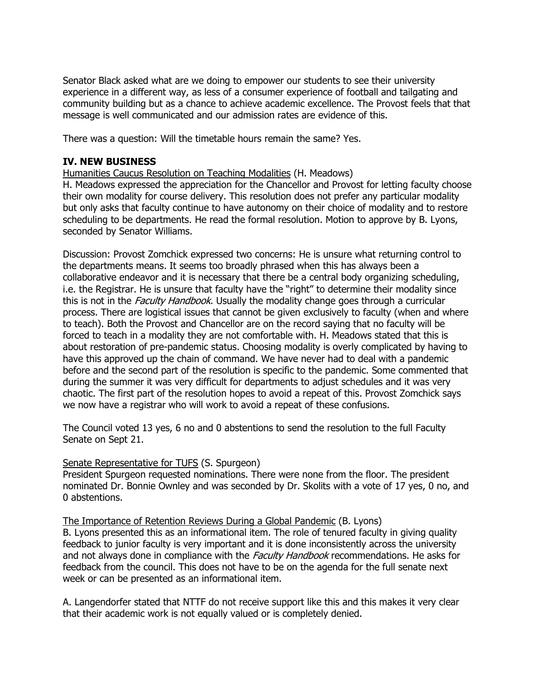Senator Black asked what are we doing to empower our students to see their university experience in a different way, as less of a consumer experience of football and tailgating and community building but as a chance to achieve academic excellence. The Provost feels that that message is well communicated and our admission rates are evidence of this.

There was a question: Will the timetable hours remain the same? Yes.

#### **IV. NEW BUSINESS**

Humanities Caucus Resolution on Teaching Modalities (H. Meadows)

H. Meadows expressed the appreciation for the Chancellor and Provost for letting faculty choose their own modality for course delivery. This resolution does not prefer any particular modality but only asks that faculty continue to have autonomy on their choice of modality and to restore scheduling to be departments. He read the formal resolution. Motion to approve by B. Lyons, seconded by Senator Williams.

Discussion: Provost Zomchick expressed two concerns: He is unsure what returning control to the departments means. It seems too broadly phrased when this has always been a collaborative endeavor and it is necessary that there be a central body organizing scheduling, i.e. the Registrar. He is unsure that faculty have the "right" to determine their modality since this is not in the *Faculty Handbook*. Usually the modality change goes through a curricular process. There are logistical issues that cannot be given exclusively to faculty (when and where to teach). Both the Provost and Chancellor are on the record saying that no faculty will be forced to teach in a modality they are not comfortable with. H. Meadows stated that this is about restoration of pre-pandemic status. Choosing modality is overly complicated by having to have this approved up the chain of command. We have never had to deal with a pandemic before and the second part of the resolution is specific to the pandemic. Some commented that during the summer it was very difficult for departments to adjust schedules and it was very chaotic. The first part of the resolution hopes to avoid a repeat of this. Provost Zomchick says we now have a registrar who will work to avoid a repeat of these confusions.

The Council voted 13 yes, 6 no and 0 abstentions to send the resolution to the full Faculty Senate on Sept 21.

### Senate Representative for TUFS (S. Spurgeon)

President Spurgeon requested nominations. There were none from the floor. The president nominated Dr. Bonnie Ownley and was seconded by Dr. Skolits with a vote of 17 yes, 0 no, and 0 abstentions.

The Importance of Retention Reviews During a Global Pandemic (B. Lyons)

B. Lyons presented this as an informational item. The role of tenured faculty in giving quality feedback to junior faculty is very important and it is done inconsistently across the university and not always done in compliance with the *Faculty Handbook* recommendations. He asks for feedback from the council. This does not have to be on the agenda for the full senate next week or can be presented as an informational item.

A. Langendorfer stated that NTTF do not receive support like this and this makes it very clear that their academic work is not equally valued or is completely denied.